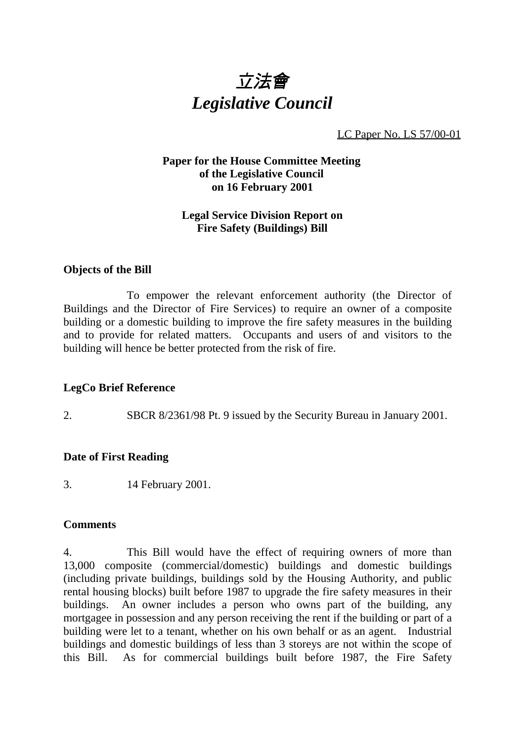

LC Paper No. LS 57/00-01

# **Paper for the House Committee Meeting of the Legislative Council on 16 February 2001**

# **Legal Service Division Report on Fire Safety (Buildings) Bill**

## **Objects of the Bill**

To empower the relevant enforcement authority (the Director of Buildings and the Director of Fire Services) to require an owner of a composite building or a domestic building to improve the fire safety measures in the building and to provide for related matters. Occupants and users of and visitors to the building will hence be better protected from the risk of fire.

## **LegCo Brief Reference**

2. SBCR 8/2361/98 Pt. 9 issued by the Security Bureau in January 2001.

#### **Date of First Reading**

3. 14 February 2001.

#### **Comments**

4. This Bill would have the effect of requiring owners of more than 13,000 composite (commercial/domestic) buildings and domestic buildings (including private buildings, buildings sold by the Housing Authority, and public rental housing blocks) built before 1987 to upgrade the fire safety measures in their buildings. An owner includes a person who owns part of the building, any mortgagee in possession and any person receiving the rent if the building or part of a building were let to a tenant, whether on his own behalf or as an agent. Industrial buildings and domestic buildings of less than 3 storeys are not within the scope of this Bill. As for commercial buildings built before 1987, the Fire Safety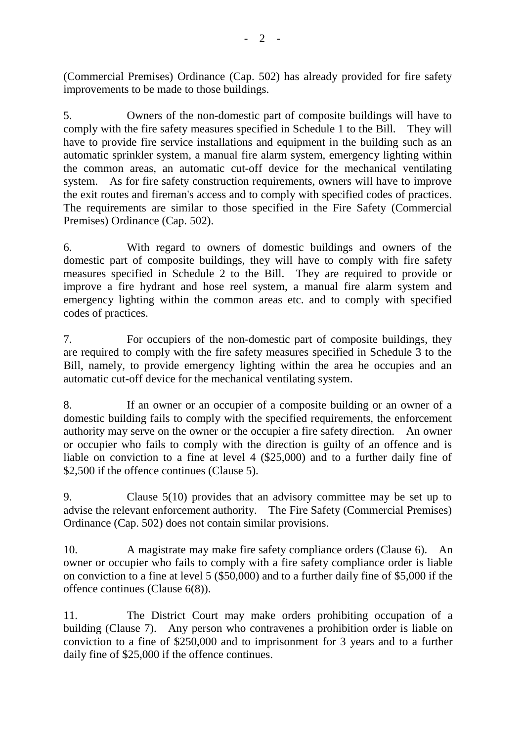(Commercial Premises) Ordinance (Cap. 502) has already provided for fire safety improvements to be made to those buildings.

5. Owners of the non-domestic part of composite buildings will have to comply with the fire safety measures specified in Schedule 1 to the Bill. They will have to provide fire service installations and equipment in the building such as an automatic sprinkler system, a manual fire alarm system, emergency lighting within the common areas, an automatic cut-off device for the mechanical ventilating system. As for fire safety construction requirements, owners will have to improve the exit routes and fireman's access and to comply with specified codes of practices. The requirements are similar to those specified in the Fire Safety (Commercial Premises) Ordinance (Cap. 502).

6. With regard to owners of domestic buildings and owners of the domestic part of composite buildings, they will have to comply with fire safety measures specified in Schedule 2 to the Bill. They are required to provide or improve a fire hydrant and hose reel system, a manual fire alarm system and emergency lighting within the common areas etc. and to comply with specified codes of practices.

7. For occupiers of the non-domestic part of composite buildings, they are required to comply with the fire safety measures specified in Schedule 3 to the Bill, namely, to provide emergency lighting within the area he occupies and an automatic cut-off device for the mechanical ventilating system.

8. If an owner or an occupier of a composite building or an owner of a domestic building fails to comply with the specified requirements, the enforcement authority may serve on the owner or the occupier a fire safety direction. An owner or occupier who fails to comply with the direction is guilty of an offence and is liable on conviction to a fine at level 4 (\$25,000) and to a further daily fine of \$2,500 if the offence continues (Clause 5).

9. Clause 5(10) provides that an advisory committee may be set up to advise the relevant enforcement authority. The Fire Safety (Commercial Premises) Ordinance (Cap. 502) does not contain similar provisions.

10. A magistrate may make fire safety compliance orders (Clause 6). An owner or occupier who fails to comply with a fire safety compliance order is liable on conviction to a fine at level 5 (\$50,000) and to a further daily fine of \$5,000 if the offence continues (Clause 6(8)).

11. The District Court may make orders prohibiting occupation of a building (Clause 7). Any person who contravenes a prohibition order is liable on conviction to a fine of \$250,000 and to imprisonment for 3 years and to a further daily fine of \$25,000 if the offence continues.